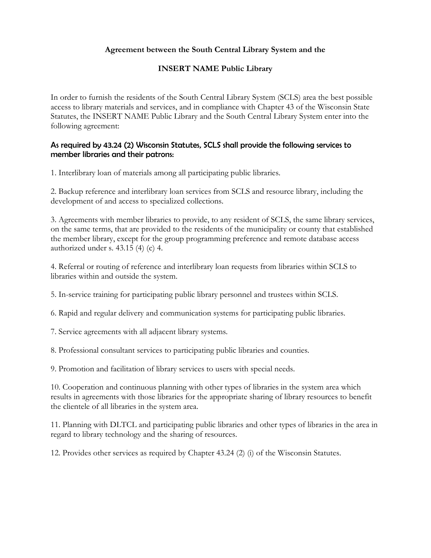## Agreement between the South Central Library System and the

## INSERT NAME Public Library

In order to furnish the residents of the South Central Library System (SCLS) area the best possible access to library materials and services, and in compliance with Chapter 43 of the Wisconsin State Statutes, the INSERT NAME Public Library and the South Central Library System enter into the following agreement:

## As required by 43.24 (2) Wisconsin Statutes, SCLS shall provide the following services to member libraries and their patrons:

1. Interlibrary loan of materials among all participating public libraries.

2. Backup reference and interlibrary loan services from SCLS and resource library, including the development of and access to specialized collections.

3. Agreements with member libraries to provide, to any resident of SCLS, the same library services, on the same terms, that are provided to the residents of the municipality or county that established the member library, except for the group programming preference and remote database access authorized under s. 43.15 (4) (c) 4.

4. Referral or routing of reference and interlibrary loan requests from libraries within SCLS to libraries within and outside the system.

5. In-service training for participating public library personnel and trustees within SCLS.

6. Rapid and regular delivery and communication systems for participating public libraries.

7. Service agreements with all adjacent library systems.

8. Professional consultant services to participating public libraries and counties.

9. Promotion and facilitation of library services to users with special needs.

10. Cooperation and continuous planning with other types of libraries in the system area which results in agreements with those libraries for the appropriate sharing of library resources to benefit the clientele of all libraries in the system area.

11. Planning with DLTCL and participating public libraries and other types of libraries in the area in regard to library technology and the sharing of resources.

12. Provides other services as required by Chapter 43.24 (2) (i) of the Wisconsin Statutes.